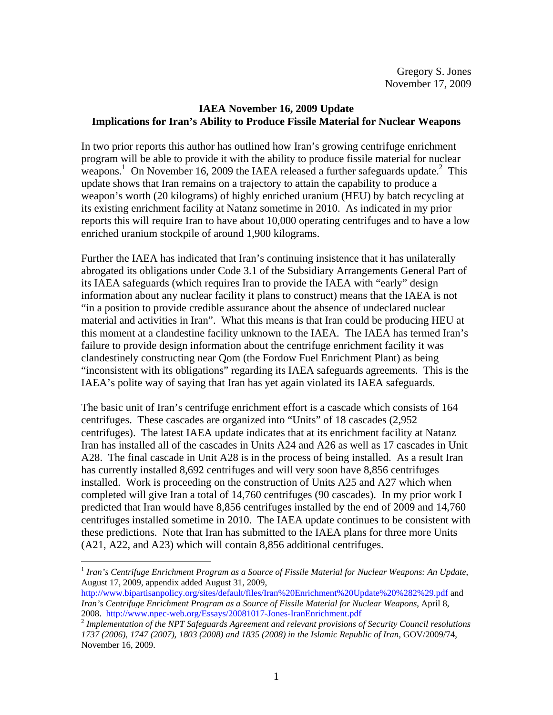## **IAEA November 16, 2009 Update Implications for Iran's Ability to Produce Fissile Material for Nuclear Weapons**

In two prior reports this author has outlined how Iran's growing centrifuge enrichment program will be able to provide it with the ability to produce fissile material for nuclear weapons.<sup>1</sup> On November 16, 2009 the IAEA released a further safeguards update.<sup>2</sup> This update shows that Iran remains on a trajectory to attain the capability to produce a weapon's worth (20 kilograms) of highly enriched uranium (HEU) by batch recycling at its existing enrichment facility at Natanz sometime in 2010. As indicated in my prior reports this will require Iran to have about 10,000 operating centrifuges and to have a low enriched uranium stockpile of around 1,900 kilograms.

Further the IAEA has indicated that Iran's continuing insistence that it has unilaterally abrogated its obligations under Code 3.1 of the Subsidiary Arrangements General Part of its IAEA safeguards (which requires Iran to provide the IAEA with "early" design information about any nuclear facility it plans to construct) means that the IAEA is not "in a position to provide credible assurance about the absence of undeclared nuclear material and activities in Iran". What this means is that Iran could be producing HEU at this moment at a clandestine facility unknown to the IAEA. The IAEA has termed Iran's failure to provide design information about the centrifuge enrichment facility it was clandestinely constructing near Qom (the Fordow Fuel Enrichment Plant) as being "inconsistent with its obligations" regarding its IAEA safeguards agreements. This is the IAEA's polite way of saying that Iran has yet again violated its IAEA safeguards.

The basic unit of Iran's centrifuge enrichment effort is a cascade which consists of 164 centrifuges. These cascades are organized into "Units" of 18 cascades (2,952 centrifuges). The latest IAEA update indicates that at its enrichment facility at Natanz Iran has installed all of the cascades in Units A24 and A26 as well as 17 cascades in Unit A28. The final cascade in Unit A28 is in the process of being installed. As a result Iran has currently installed 8,692 centrifuges and will very soon have 8,856 centrifuges installed. Work is proceeding on the construction of Units A25 and A27 which when completed will give Iran a total of 14,760 centrifuges (90 cascades). In my prior work I predicted that Iran would have 8,856 centrifuges installed by the end of 2009 and 14,760 centrifuges installed sometime in 2010. The IAEA update continues to be consistent with these predictions. Note that Iran has submitted to the IAEA plans for three more Units (A21, A22, and A23) which will contain 8,856 additional centrifuges.

 $\overline{a}$ 

<sup>1</sup> *Iran's Centrifuge Enrichment Program as a Source of Fissile Material for Nuclear Weapons: An Update*, August 17, 2009, appendix added August 31, 2009,

http://www.bipartisanpolicy.org/sites/default/files/Iran%20Enrichment%20Update%20%282%29.pdf and *Iran's Centrifuge Enrichment Program as a Source of Fissile Material for Nuclear Weapons*, April 8,

<sup>2008.</sup> http://www.npec-web.org/Essays/20081017-Jones-IranEnrichment.pdf 2 *Implementation of the NPT Safeguards Agreement and relevant provisions of Security Council resolutions 1737 (2006), 1747 (2007), 1803 (2008) and 1835 (2008) in the Islamic Republic of Iran*, GOV/2009/74, November 16, 2009.